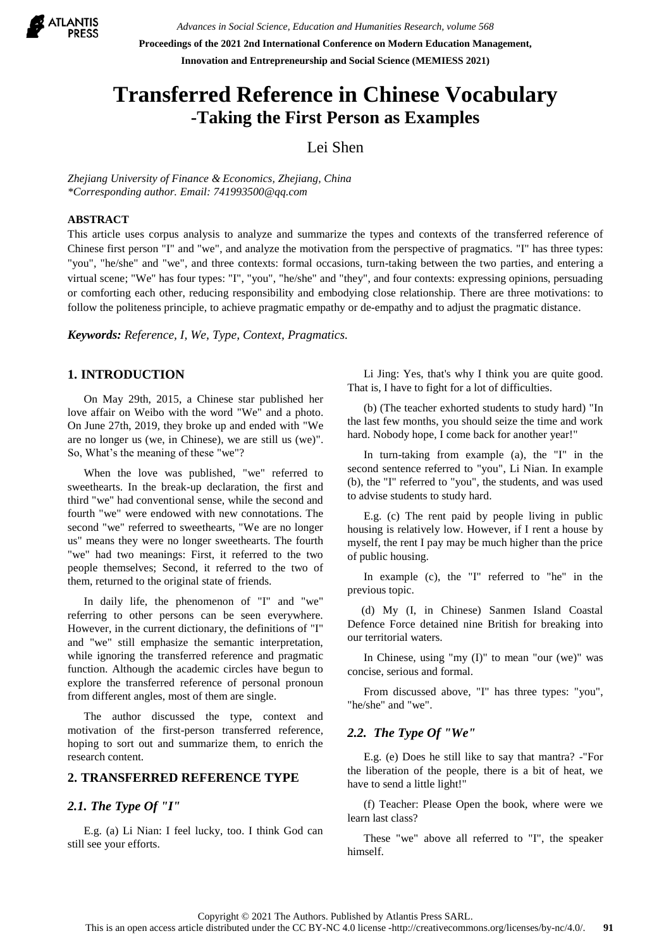

*Advances in Social Science, Education and Humanities Research, volume 568* **Proceedings of the 2021 2nd International Conference on Modern Education Management, Innovation and Entrepreneurship and Social Science (MEMIESS 2021)**

# **Transferred Reference in Chinese Vocabulary -Taking the First Person as Examples**

# Lei Shen

*Zhejiang University of Finance & Economics, Zhejiang, China \*Corresponding author. Email: 741993500@qq.com*

## **ABSTRACT**

This article uses corpus analysis to analyze and summarize the types and contexts of the transferred reference of Chinese first person "I" and "we", and analyze the motivation from the perspective of pragmatics. "I" has three types: "you", "he/she" and "we", and three contexts: formal occasions, turn-taking between the two parties, and entering a virtual scene; "We" has four types: "I", "you", "he/she" and "they", and four contexts: expressing opinions, persuading or comforting each other, reducing responsibility and embodying close relationship. There are three motivations: to follow the politeness principle, to achieve pragmatic empathy or de-empathy and to adjust the pragmatic distance.

*Keywords: Reference, I, We, Type, Context, Pragmatics.*

# **1. INTRODUCTION**

On May 29th, 2015, a Chinese star published her love affair on Weibo with the word "We" and a photo. On June 27th, 2019, they broke up and ended with "We are no longer us (we, in Chinese), we are still us (we)". So, What's the meaning of these "we"?

When the love was published, "we" referred to sweethearts. In the break-up declaration, the first and third "we" had conventional sense, while the second and fourth "we" were endowed with new connotations. The second "we" referred to sweethearts, "We are no longer us" means they were no longer sweethearts. The fourth "we" had two meanings: First, it referred to the two people themselves; Second, it referred to the two of them, returned to the original state of friends.

In daily life, the phenomenon of "I" and "we" referring to other persons can be seen everywhere. However, in the current dictionary, the definitions of "I" and "we" still emphasize the semantic interpretation, while ignoring the transferred reference and pragmatic function. Although the academic circles have begun to explore the transferred reference of personal pronoun from different angles, most of them are single.

The author discussed the type, context and motivation of the first-person transferred reference, hoping to sort out and summarize them, to enrich the research content.

## **2. TRANSFERRED REFERENCE TYPE**

# *2.1. The Type Of "I"*

E.g. (a) Li Nian: I feel lucky, too. I think God can still see your efforts.

Li Jing: Yes, that's why I think you are quite good. That is, I have to fight for a lot of difficulties.

(b) (The teacher exhorted students to study hard) "In the last few months, you should seize the time and work hard. Nobody hope, I come back for another year!"

In turn-taking from example (a), the "I" in the second sentence referred to "you", Li Nian. In example (b), the "I" referred to "you", the students, and was used to advise students to study hard.

E.g. (c) The rent paid by people living in public housing is relatively low. However, if I rent a house by myself, the rent I pay may be much higher than the price of public housing.

In example (c), the "I" referred to "he" in the previous topic.

(d) My (I, in Chinese) Sanmen Island Coastal Defence Force detained nine British for breaking into our territorial waters.

In Chinese, using "my (I)" to mean "our (we)" was concise, serious and formal.

From discussed above, "I" has three types: "you", "he/she" and "we".

## *2.2. The Type Of "We"*

E.g. (e) Does he still like to say that mantra? -"For the liberation of the people, there is a bit of heat, we have to send a little light!"

(f) Teacher: Please Open the book, where were we learn last class?

These "we" above all referred to "I", the speaker himself.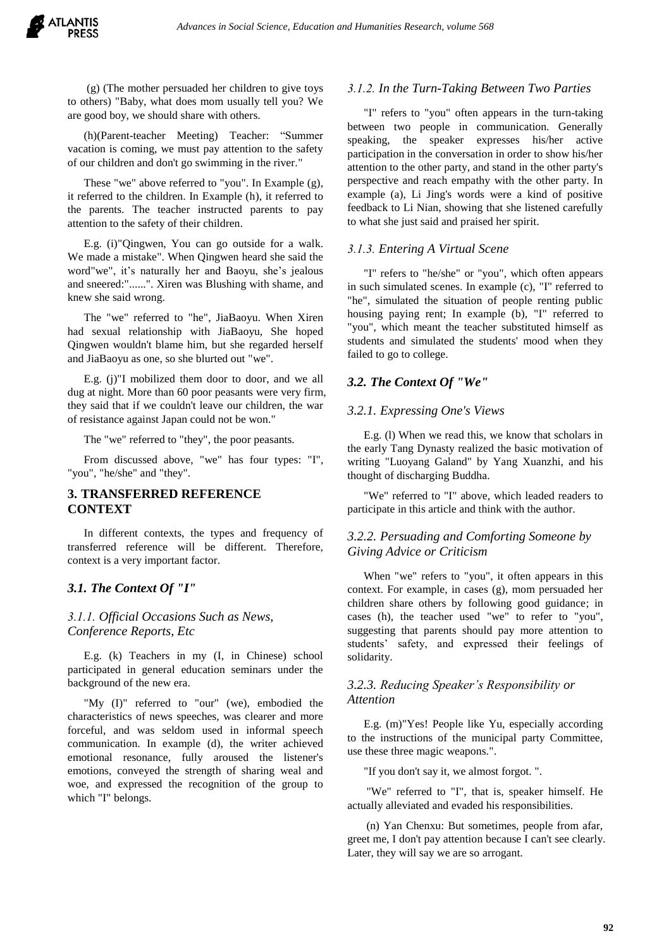(g) (The mother persuaded her children to give toys to others) "Baby, what does mom usually tell you? We are good boy, we should share with others.

(h)(Parent-teacher Meeting) Teacher: "Summer vacation is coming, we must pay attention to the safety of our children and don't go swimming in the river."

These "we" above referred to "you". In Example (g), it referred to the children. In Example (h), it referred to the parents. The teacher instructed parents to pay attention to the safety of their children.

E.g. (i)"Qingwen, You can go outside for a walk. We made a mistake". When Qingwen heard she said the word"we", it's naturally her and Baoyu, she's jealous and sneered:"......". Xiren was Blushing with shame, and knew she said wrong.

The "we" referred to "he", JiaBaoyu. When Xiren had sexual relationship with JiaBaoyu, She hoped Qingwen wouldn't blame him, but she regarded herself and JiaBaoyu as one, so she blurted out "we".

E.g. (j)"I mobilized them door to door, and we all dug at night. More than 60 poor peasants were very firm, they said that if we couldn't leave our children, the war of resistance against Japan could not be won."

The "we" referred to "they", the poor peasants.

From discussed above, "we" has four types: "I", "you", "he/she" and "they".

## **3. TRANSFERRED REFERENCE CONTEXT**

In different contexts, the types and frequency of transferred reference will be different. Therefore, context is a very important factor.

# *3.1. The Context Of "I"*

# *3.1.1. Official Occasions Such as News, Conference Reports, Etc*

E.g. (k) Teachers in my (I, in Chinese) school participated in general education seminars under the background of the new era.

"My (I)" referred to "our" (we), embodied the characteristics of news speeches, was clearer and more forceful, and was seldom used in informal speech communication. In example (d), the writer achieved emotional resonance, fully aroused the listener's emotions, conveyed the strength of sharing weal and woe, and expressed the recognition of the group to which "I" belongs.

#### *3.1.2. In the Turn-Taking Between Two Parties*

"I" refers to "you" often appears in the turn-taking between two people in communication. Generally speaking, the speaker expresses his/her active participation in the conversation in order to show his/her attention to the other party, and stand in the other party's perspective and reach empathy with the other party. In example (a), Li Jing's words were a kind of positive feedback to Li Nian, showing that she listened carefully to what she just said and praised her spirit.

#### *3.1.3. Entering A Virtual Scene*

"I" refers to "he/she" or "you", which often appears in such simulated scenes. In example (c), "I" referred to "he", simulated the situation of people renting public housing paying rent; In example (b), "I" referred to "you", which meant the teacher substituted himself as students and simulated the students' mood when they failed to go to college.

#### *3.2. The Context Of "We"*

#### *3.2.1. Expressing One's Views*

E.g. (l) When we read this, we know that scholars in the early Tang Dynasty realized the basic motivation of writing "Luoyang Galand" by Yang Xuanzhi, and his thought of discharging Buddha.

"We" referred to "I" above, which leaded readers to participate in this article and think with the author.

## *3.2.2. Persuading and Comforting Someone by Giving Advice or Criticism*

When "we" refers to "you", it often appears in this context. For example, in cases (g), mom persuaded her children share others by following good guidance; in cases (h), the teacher used "we" to refer to "you", suggesting that parents should pay more attention to students' safety, and expressed their feelings of solidarity.

# *3.2.3. Reducing Speaker's Responsibility or Attention*

E.g. (m)"Yes! People like Yu, especially according to the instructions of the municipal party Committee, use these three magic weapons.".

"If you don't say it, we almost forgot. ".

"We" referred to "I", that is, speaker himself. He actually alleviated and evaded his responsibilities.

(n) Yan Chenxu: But sometimes, people from afar, greet me, I don't pay attention because I can't see clearly. Later, they will say we are so arrogant.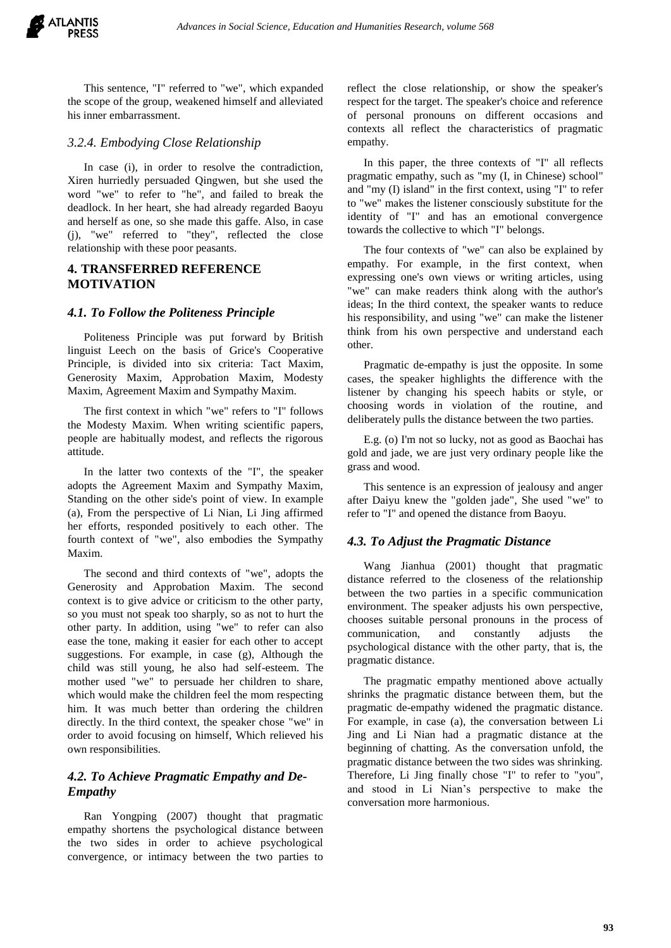This sentence, "I" referred to "we", which expanded the scope of the group, weakened himself and alleviated his inner embarrassment.

## *3.2.4. Embodying Close Relationship*

In case (i), in order to resolve the contradiction, Xiren hurriedly persuaded Qingwen, but she used the word "we" to refer to "he", and failed to break the deadlock. In her heart, she had already regarded Baoyu and herself as one, so she made this gaffe. Also, in case (j), "we" referred to "they", reflected the close relationship with these poor peasants.

# **4. TRANSFERRED REFERENCE MOTIVATION**

## *4.1. To Follow the Politeness Principle*

Politeness Principle was put forward by British linguist Leech on the basis of Grice's Cooperative Principle, is divided into six criteria: Tact Maxim, Generosity Maxim, Approbation Maxim, Modesty Maxim, Agreement Maxim and Sympathy Maxim.

The first context in which "we" refers to "I" follows the Modesty Maxim. When writing scientific papers, people are habitually modest, and reflects the rigorous attitude.

In the latter two contexts of the "I", the speaker adopts the Agreement Maxim and Sympathy Maxim, Standing on the other side's point of view. In example (a), From the perspective of Li Nian, Li Jing affirmed her efforts, responded positively to each other. The fourth context of "we", also embodies the Sympathy Maxim.

The second and third contexts of "we", adopts the Generosity and Approbation Maxim. The second context is to give advice or criticism to the other party, so you must not speak too sharply, so as not to hurt the other party. In addition, using "we" to refer can also ease the tone, making it easier for each other to accept suggestions. For example, in case (g), Although the child was still young, he also had self-esteem. The mother used "we" to persuade her children to share, which would make the children feel the mom respecting him. It was much better than ordering the children directly. In the third context, the speaker chose "we" in order to avoid focusing on himself, Which relieved his own responsibilities.

# *4.2. To Achieve Pragmatic Empathy and De-Empathy*

Ran Yongping (2007) thought that pragmatic empathy shortens the psychological distance between the two sides in order to achieve psychological convergence, or intimacy between the two parties to reflect the close relationship, or show the speaker's respect for the target. The speaker's choice and reference of personal pronouns on different occasions and contexts all reflect the characteristics of pragmatic empathy.

In this paper, the three contexts of "I" all reflects pragmatic empathy, such as "my (I, in Chinese) school" and "my (I) island" in the first context, using "I" to refer to "we" makes the listener consciously substitute for the identity of "I" and has an emotional convergence towards the collective to which "I" belongs.

The four contexts of "we" can also be explained by empathy. For example, in the first context, when expressing one's own views or writing articles, using "we" can make readers think along with the author's ideas; In the third context, the speaker wants to reduce his responsibility, and using "we" can make the listener think from his own perspective and understand each other.

Pragmatic de-empathy is just the opposite. In some cases, the speaker highlights the difference with the listener by changing his speech habits or style, or choosing words in violation of the routine, and deliberately pulls the distance between the two parties.

E.g. (o) I'm not so lucky, not as good as Baochai has gold and jade, we are just very ordinary people like the grass and wood.

This sentence is an expression of jealousy and anger after Daiyu knew the "golden jade", She used "we" to refer to "I" and opened the distance from Baoyu.

## *4.3. To Adjust the Pragmatic Distance*

Wang Jianhua (2001) thought that pragmatic distance referred to the closeness of the relationship between the two parties in a specific communication environment. The speaker adjusts his own perspective, chooses suitable personal pronouns in the process of communication, and constantly adjusts the psychological distance with the other party, that is, the pragmatic distance.

The pragmatic empathy mentioned above actually shrinks the pragmatic distance between them, but the pragmatic de-empathy widened the pragmatic distance. For example, in case (a), the conversation between Li Jing and Li Nian had a pragmatic distance at the beginning of chatting. As the conversation unfold, the pragmatic distance between the two sides was shrinking. Therefore, Li Jing finally chose "I" to refer to "you", and stood in Li Nian's perspective to make the conversation more harmonious.